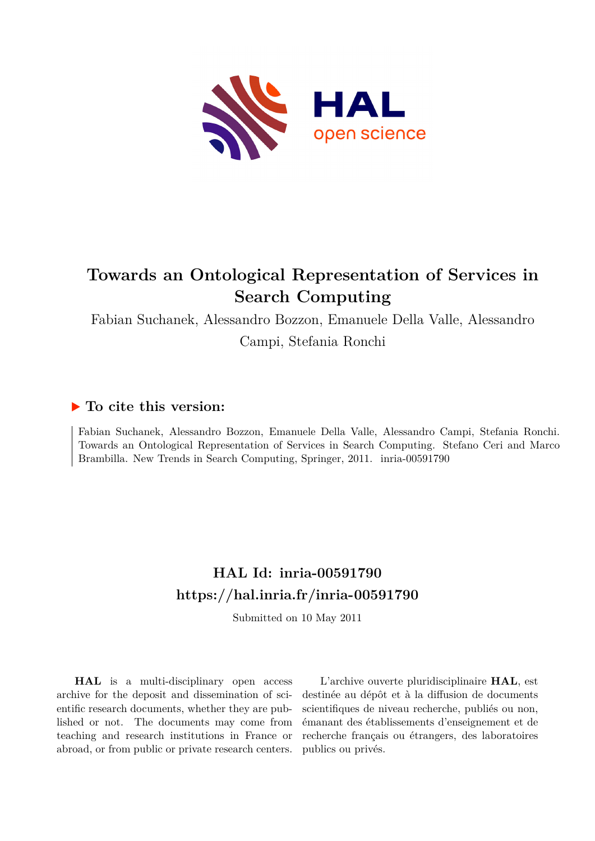

# **Towards an Ontological Representation of Services in Search Computing**

Fabian Suchanek, Alessandro Bozzon, Emanuele Della Valle, Alessandro

Campi, Stefania Ronchi

# **To cite this version:**

Fabian Suchanek, Alessandro Bozzon, Emanuele Della Valle, Alessandro Campi, Stefania Ronchi. Towards an Ontological Representation of Services in Search Computing. Stefano Ceri and Marco Brambilla. New Trends in Search Computing, Springer, 2011. inria-00591790

# **HAL Id: inria-00591790 <https://hal.inria.fr/inria-00591790>**

Submitted on 10 May 2011

**HAL** is a multi-disciplinary open access archive for the deposit and dissemination of scientific research documents, whether they are published or not. The documents may come from teaching and research institutions in France or abroad, or from public or private research centers.

L'archive ouverte pluridisciplinaire **HAL**, est destinée au dépôt et à la diffusion de documents scientifiques de niveau recherche, publiés ou non, émanant des établissements d'enseignement et de recherche français ou étrangers, des laboratoires publics ou privés.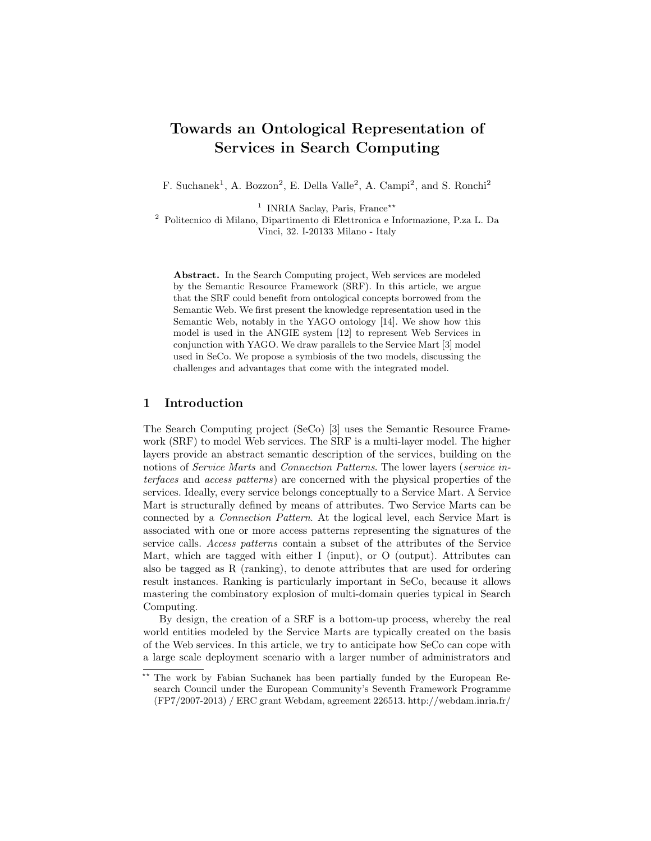# Towards an Ontological Representation of Services in Search Computing

F. Suchanek<sup>1</sup>, A. Bozzon<sup>2</sup>, E. Della Valle<sup>2</sup>, A. Campi<sup>2</sup>, and S. Ronchi<sup>2</sup>

<sup>1</sup> INRIA Saclay, Paris, France<sup>\*\*</sup>

<sup>2</sup> Politecnico di Milano, Dipartimento di Elettronica e Informazione, P.za L. Da Vinci, 32. I-20133 Milano - Italy

Abstract. In the Search Computing project, Web services are modeled by the Semantic Resource Framework (SRF). In this article, we argue that the SRF could benefit from ontological concepts borrowed from the Semantic Web. We first present the knowledge representation used in the Semantic Web, notably in the YAGO ontology [14]. We show how this model is used in the ANGIE system [12] to represent Web Services in conjunction with YAGO. We draw parallels to the Service Mart [3] model used in SeCo. We propose a symbiosis of the two models, discussing the challenges and advantages that come with the integrated model.

### 1 Introduction

The Search Computing project (SeCo) [3] uses the Semantic Resource Framework (SRF) to model Web services. The SRF is a multi-layer model. The higher layers provide an abstract semantic description of the services, building on the notions of Service Marts and Connection Patterns. The lower layers (service interfaces and access patterns) are concerned with the physical properties of the services. Ideally, every service belongs conceptually to a Service Mart. A Service Mart is structurally defined by means of attributes. Two Service Marts can be connected by a Connection Pattern. At the logical level, each Service Mart is associated with one or more access patterns representing the signatures of the service calls. Access patterns contain a subset of the attributes of the Service Mart, which are tagged with either I (input), or O (output). Attributes can also be tagged as R (ranking), to denote attributes that are used for ordering result instances. Ranking is particularly important in SeCo, because it allows mastering the combinatory explosion of multi-domain queries typical in Search Computing.

By design, the creation of a SRF is a bottom-up process, whereby the real world entities modeled by the Service Marts are typically created on the basis of the Web services. In this article, we try to anticipate how SeCo can cope with a large scale deployment scenario with a larger number of administrators and

<sup>\*\*</sup> The work by Fabian Suchanek has been partially funded by the European Research Council under the European Community's Seventh Framework Programme  $(FP7/2007-2013)$  / ERC grant Webdam, agreement 226513. http://webdam.inria.fr/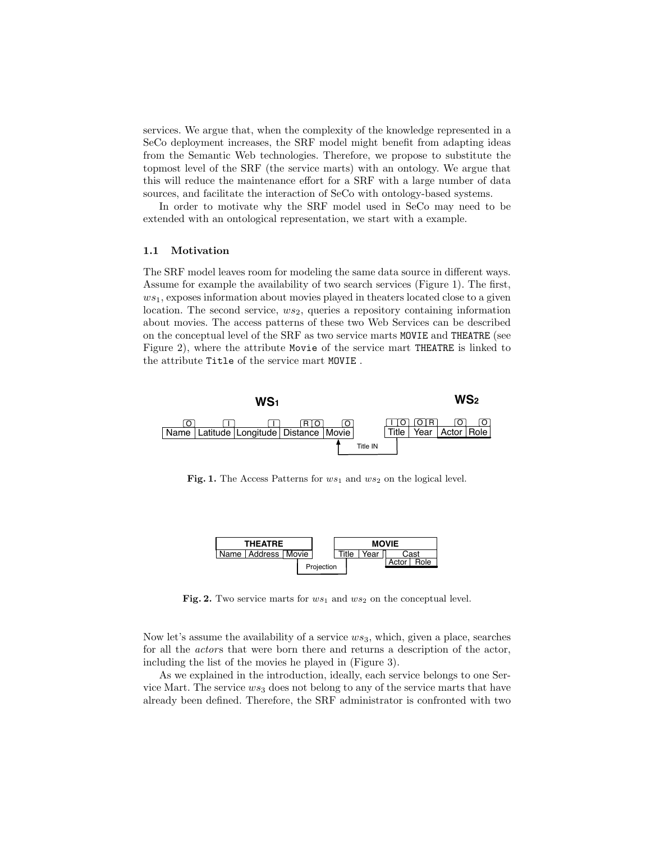services. We argue that, when the complexity of the knowledge represented in a SeCo deployment increases, the SRF model might benefit from adapting ideas from the Semantic Web technologies. Therefore, we propose to substitute the topmost level of the SRF (the service marts) with an ontology. We argue that this will reduce the maintenance effort for a SRF with a large number of data sources, and facilitate the interaction of SeCo with ontology-based systems.

In order to motivate why the SRF model used in SeCo may need to be extended with an ontological representation, we start with a example.

#### 1.1 Motivation

The SRF model leaves room for modeling the same data source in different ways. Assume for example the availability of two search services (Figure 1). The first,  $ws_1$ , exposes information about movies played in theaters located close to a given location. The second service,  $ws_2$ , queries a repository containing information about movies. The access patterns of these two Web Services can be described on the conceptual level of the SRF as two service marts MOVIE and THEATRE (see Figure 2), where the attribute Movie of the service mart THEATRE is linked to the attribute Title of the service mart MOVIE .



Fig. 1. The Access Patterns for  $ws_1$  and  $ws_2$  on the logical level.



Fig. 2. Two service marts for  $ws_1$  and  $ws_2$  on the conceptual level.

Now let's assume the availability of a service  $ws_3$ , which, given a place, searches for all the *actors* that were born there and returns a description of the actor, including the list of the movies he played in (Figure 3).

As we explained in the introduction, ideally, each service belongs to one Service Mart. The service  $ws_3$  does not belong to any of the service marts that have already been defined. Therefore, the SRF administrator is confronted with two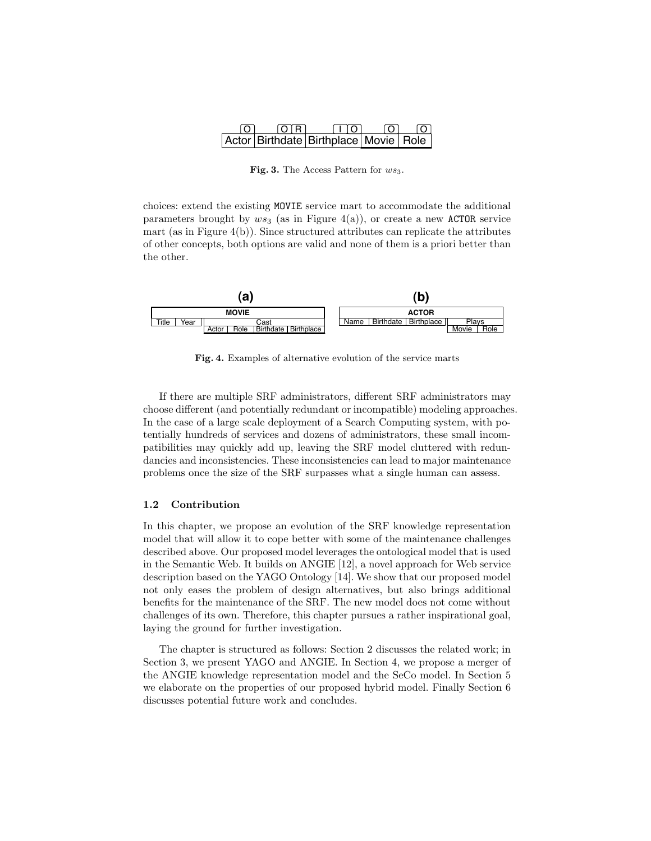| O R |  |                                               |  | $\Box$ $\Box$ $\Box$ |  |  |  | 10 I |
|-----|--|-----------------------------------------------|--|----------------------|--|--|--|------|
|     |  | Actor   Birthdate   Birthplace   Movie   Role |  |                      |  |  |  |      |

Fig. 3. The Access Pattern for  $ws_3$ .

choices: extend the existing MOVIE service mart to accommodate the additional parameters brought by  $ws_3$  (as in Figure 4(a)), or create a new ACTOR service mart (as in Figure 4(b)). Since structured attributes can replicate the attributes of other concepts, both options are valid and none of them is a priori better than the other.



Fig. 4. Examples of alternative evolution of the service marts

If there are multiple SRF administrators, different SRF administrators may choose different (and potentially redundant or incompatible) modeling approaches. In the case of a large scale deployment of a Search Computing system, with potentially hundreds of services and dozens of administrators, these small incompatibilities may quickly add up, leaving the SRF model cluttered with redundancies and inconsistencies. These inconsistencies can lead to major maintenance problems once the size of the SRF surpasses what a single human can assess.

#### 1.2 Contribution

In this chapter, we propose an evolution of the SRF knowledge representation model that will allow it to cope better with some of the maintenance challenges described above. Our proposed model leverages the ontological model that is used in the Semantic Web. It builds on ANGIE [12], a novel approach for Web service description based on the YAGO Ontology [14]. We show that our proposed model not only eases the problem of design alternatives, but also brings additional benefits for the maintenance of the SRF. The new model does not come without challenges of its own. Therefore, this chapter pursues a rather inspirational goal, laying the ground for further investigation.

The chapter is structured as follows: Section 2 discusses the related work; in Section 3, we present YAGO and ANGIE. In Section 4, we propose a merger of the ANGIE knowledge representation model and the SeCo model. In Section 5 we elaborate on the properties of our proposed hybrid model. Finally Section 6 discusses potential future work and concludes.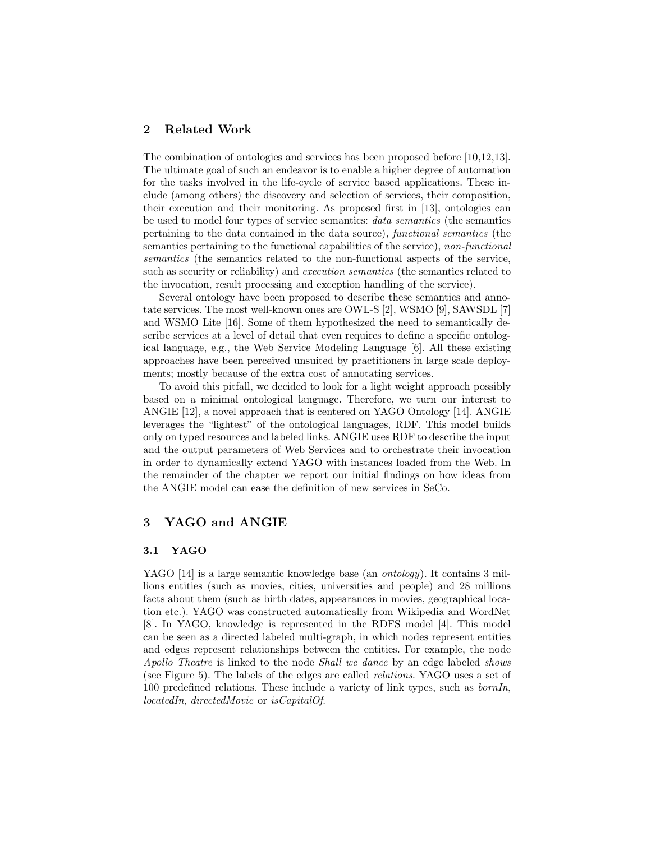## 2 Related Work

The combination of ontologies and services has been proposed before [10,12,13]. The ultimate goal of such an endeavor is to enable a higher degree of automation for the tasks involved in the life-cycle of service based applications. These include (among others) the discovery and selection of services, their composition, their execution and their monitoring. As proposed first in [13], ontologies can be used to model four types of service semantics: data semantics (the semantics pertaining to the data contained in the data source), functional semantics (the semantics pertaining to the functional capabilities of the service), non-functional semantics (the semantics related to the non-functional aspects of the service, such as security or reliability) and execution semantics (the semantics related to the invocation, result processing and exception handling of the service).

Several ontology have been proposed to describe these semantics and annotate services. The most well-known ones are OWL-S [2], WSMO [9], SAWSDL [7] and WSMO Lite [16]. Some of them hypothesized the need to semantically describe services at a level of detail that even requires to define a specific ontological language, e.g., the Web Service Modeling Language [6]. All these existing approaches have been perceived unsuited by practitioners in large scale deployments; mostly because of the extra cost of annotating services.

To avoid this pitfall, we decided to look for a light weight approach possibly based on a minimal ontological language. Therefore, we turn our interest to ANGIE [12], a novel approach that is centered on YAGO Ontology [14]. ANGIE leverages the "lightest" of the ontological languages, RDF. This model builds only on typed resources and labeled links. ANGIE uses RDF to describe the input and the output parameters of Web Services and to orchestrate their invocation in order to dynamically extend YAGO with instances loaded from the Web. In the remainder of the chapter we report our initial findings on how ideas from the ANGIE model can ease the definition of new services in SeCo.

## 3 YAGO and ANGIE

#### 3.1 YAGO

YAGO [14] is a large semantic knowledge base (an ontology). It contains 3 millions entities (such as movies, cities, universities and people) and 28 millions facts about them (such as birth dates, appearances in movies, geographical location etc.). YAGO was constructed automatically from Wikipedia and WordNet [8]. In YAGO, knowledge is represented in the RDFS model [4]. This model can be seen as a directed labeled multi-graph, in which nodes represent entities and edges represent relationships between the entities. For example, the node Apollo Theatre is linked to the node Shall we dance by an edge labeled shows (see Figure 5). The labels of the edges are called relations. YAGO uses a set of 100 predefined relations. These include a variety of link types, such as bornIn, locatedIn, directedMovie or isCapitalOf.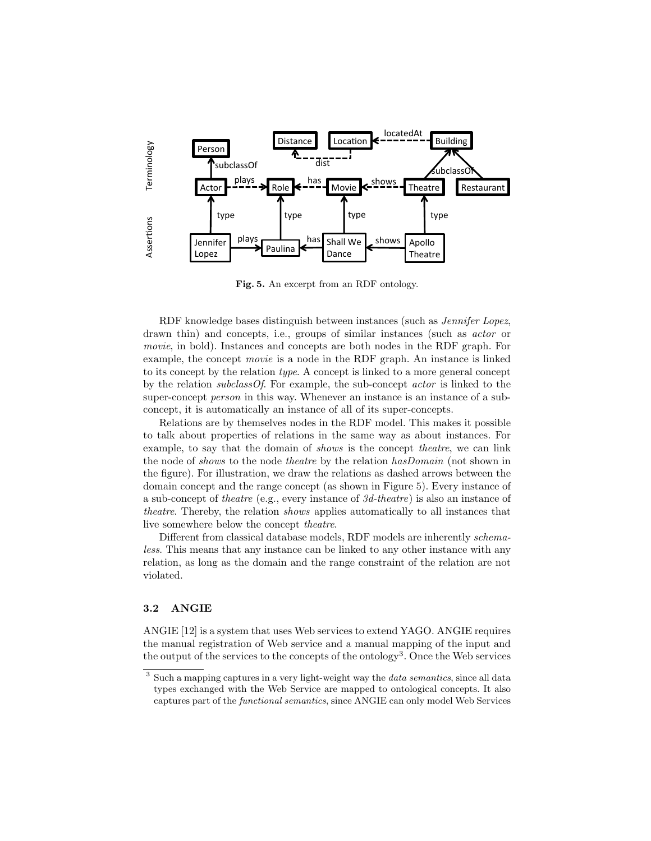

Fig. 5. An excerpt from an RDF ontology.

RDF knowledge bases distinguish between instances (such as Jennifer Lopez, drawn thin) and concepts, i.e., groups of similar instances (such as actor or movie, in bold). Instances and concepts are both nodes in the RDF graph. For example, the concept *movie* is a node in the RDF graph. An instance is linked to its concept by the relation type. A concept is linked to a more general concept by the relation subclassOf. For example, the sub-concept actor is linked to the super-concept *person* in this way. Whenever an instance is an instance of a subconcept, it is automatically an instance of all of its super-concepts.

Relations are by themselves nodes in the RDF model. This makes it possible to talk about properties of relations in the same way as about instances. For example, to say that the domain of shows is the concept theatre, we can link the node of shows to the node theatre by the relation hasDomain (not shown in the figure). For illustration, we draw the relations as dashed arrows between the domain concept and the range concept (as shown in Figure 5). Every instance of a sub-concept of theatre (e.g., every instance of 3d-theatre) is also an instance of theatre. Thereby, the relation shows applies automatically to all instances that live somewhere below the concept theatre.

Different from classical database models, RDF models are inherently schemaless. This means that any instance can be linked to any other instance with any relation, as long as the domain and the range constraint of the relation are not violated.

#### 3.2 ANGIE

ANGIE [12] is a system that uses Web services to extend YAGO. ANGIE requires the manual registration of Web service and a manual mapping of the input and the output of the services to the concepts of the ontology<sup>3</sup>. Once the Web services

<sup>&</sup>lt;sup>3</sup> Such a mapping captures in a very light-weight way the *data semantics*, since all data types exchanged with the Web Service are mapped to ontological concepts. It also captures part of the functional semantics, since ANGIE can only model Web Services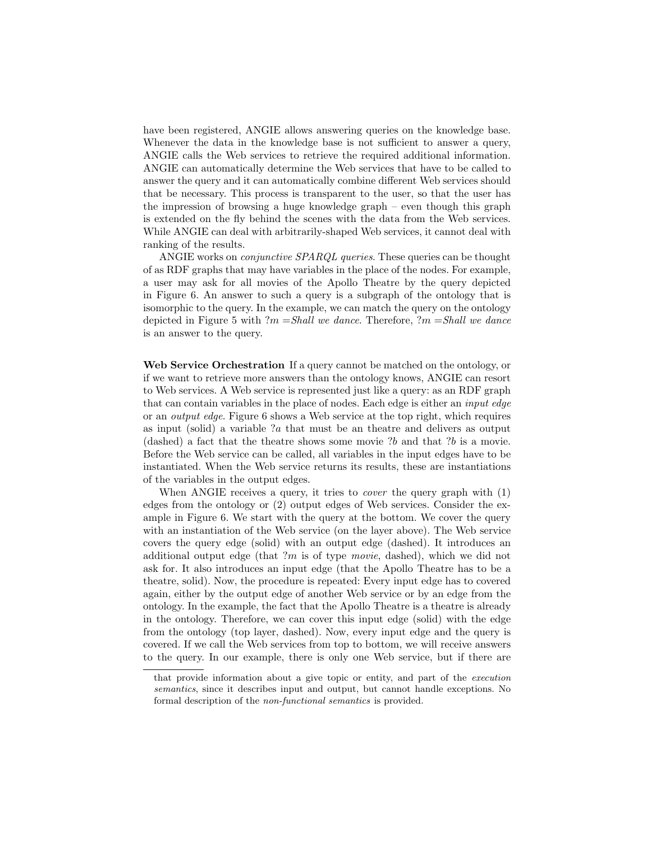have been registered, ANGIE allows answering queries on the knowledge base. Whenever the data in the knowledge base is not sufficient to answer a query, ANGIE calls the Web services to retrieve the required additional information. ANGIE can automatically determine the Web services that have to be called to answer the query and it can automatically combine different Web services should that be necessary. This process is transparent to the user, so that the user has the impression of browsing a huge knowledge graph – even though this graph is extended on the fly behind the scenes with the data from the Web services. While ANGIE can deal with arbitrarily-shaped Web services, it cannot deal with ranking of the results.

ANGIE works on *conjunctive SPARQL queries*. These queries can be thought of as RDF graphs that may have variables in the place of the nodes. For example, a user may ask for all movies of the Apollo Theatre by the query depicted in Figure 6. An answer to such a query is a subgraph of the ontology that is isomorphic to the query. In the example, we can match the query on the ontology depicted in Figure 5 with  $?m = Shall$  we dance. Therefore,  $?m = Shall$  we dance is an answer to the query.

Web Service Orchestration If a query cannot be matched on the ontology, or if we want to retrieve more answers than the ontology knows, ANGIE can resort to Web services. A Web service is represented just like a query: as an RDF graph that can contain variables in the place of nodes. Each edge is either an input edge or an output edge. Figure 6 shows a Web service at the top right, which requires as input (solid) a variable  $2a$  that must be an theatre and delivers as output (dashed) a fact that the theatre shows some movie ?b and that ?b is a movie. Before the Web service can be called, all variables in the input edges have to be instantiated. When the Web service returns its results, these are instantiations of the variables in the output edges.

When ANGIE receives a query, it tries to cover the query graph with (1) edges from the ontology or (2) output edges of Web services. Consider the example in Figure 6. We start with the query at the bottom. We cover the query with an instantiation of the Web service (on the layer above). The Web service covers the query edge (solid) with an output edge (dashed). It introduces an additional output edge (that  $?m$  is of type *movie*, dashed), which we did not ask for. It also introduces an input edge (that the Apollo Theatre has to be a theatre, solid). Now, the procedure is repeated: Every input edge has to covered again, either by the output edge of another Web service or by an edge from the ontology. In the example, the fact that the Apollo Theatre is a theatre is already in the ontology. Therefore, we can cover this input edge (solid) with the edge from the ontology (top layer, dashed). Now, every input edge and the query is covered. If we call the Web services from top to bottom, we will receive answers to the query. In our example, there is only one Web service, but if there are

that provide information about a give topic or entity, and part of the execution semantics, since it describes input and output, but cannot handle exceptions. No formal description of the non-functional semantics is provided.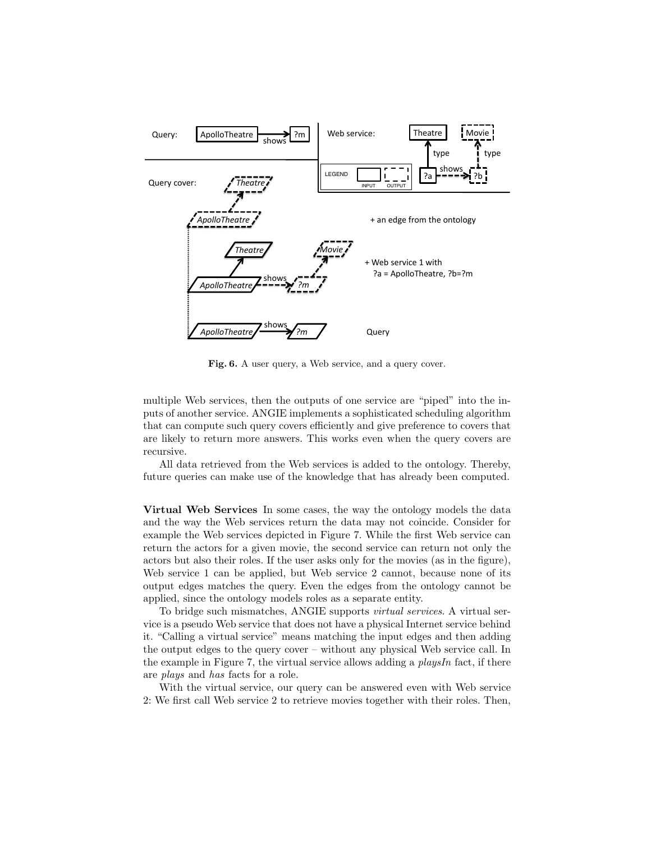

Fig. 6. A user query, a Web service, and a query cover.

multiple Web services, then the outputs of one service are "piped" into the inputs of another service. ANGIE implements a sophisticated scheduling algorithm that can compute such query covers efficiently and give preference to covers that are likely to return more answers. This works even when the query covers are recursive.

All data retrieved from the Web services is added to the ontology. Thereby, future queries can make use of the knowledge that has already been computed.

Virtual Web Services In some cases, the way the ontology models the data and the way the Web services return the data may not coincide. Consider for example the Web services depicted in Figure 7. While the first Web service can return the actors for a given movie, the second service can return not only the actors but also their roles. If the user asks only for the movies (as in the figure), Web service 1 can be applied, but Web service 2 cannot, because none of its output edges matches the query. Even the edges from the ontology cannot be applied, since the ontology models roles as a separate entity.

To bridge such mismatches, ANGIE supports *virtual services*. A virtual service is a pseudo Web service that does not have a physical Internet service behind it. "Calling a virtual service" means matching the input edges and then adding the output edges to the query cover – without any physical Web service call. In the example in Figure 7, the virtual service allows adding a  $playsIn$  fact, if there are plays and has facts for a role.

With the virtual service, our query can be answered even with Web service 2: We first call Web service 2 to retrieve movies together with their roles. Then,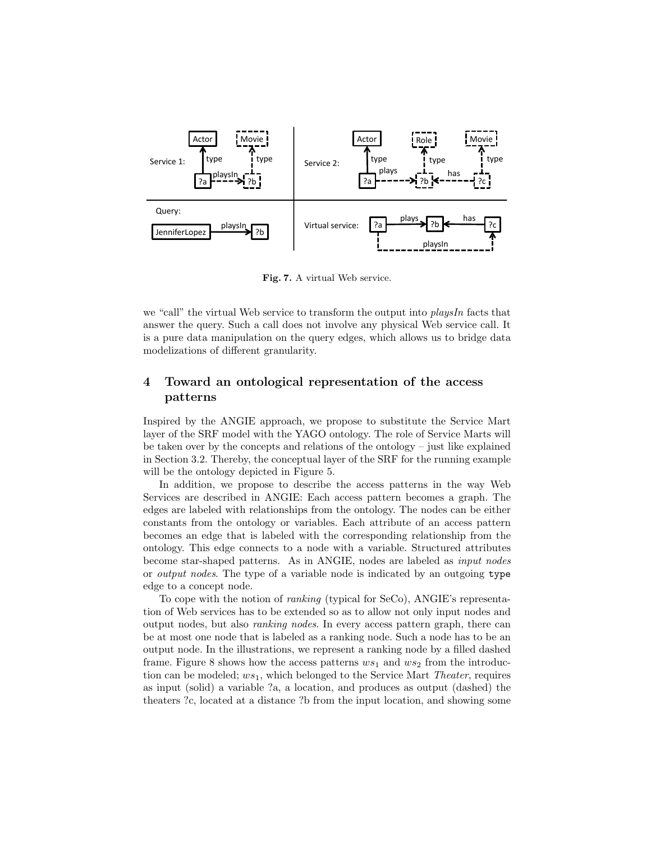

Fig. 7. A virtual Web service.

we "call" the virtual Web service to transform the output into  $playsIn$  facts that answer the query. Such a call does not involve any physical Web service call. It is a pure data manipulation on the query edges, which allows us to bridge data modelizations of different granularity.

## 4 Toward an ontological representation of the access patterns

Inspired by the ANGIE approach, we propose to substitute the Service Mart layer of the SRF model with the YAGO ontology. The role of Service Marts will be taken over by the concepts and relations of the ontology – just like explained in Section 3.2. Thereby, the conceptual layer of the SRF for the running example will be the ontology depicted in Figure 5.

In addition, we propose to describe the access patterns in the way Web Services are described in ANGIE: Each access pattern becomes a graph. The edges are labeled with relationships from the ontology. The nodes can be either constants from the ontology or variables. Each attribute of an access pattern becomes an edge that is labeled with the corresponding relationship from the ontology. This edge connects to a node with a variable. Structured attributes become star-shaped patterns. As in ANGIE, nodes are labeled as input nodes or output nodes. The type of a variable node is indicated by an outgoing type edge to a concept node.

To cope with the notion of ranking (typical for SeCo), ANGIE's representation of Web services has to be extended so as to allow not only input nodes and output nodes, but also ranking nodes. In every access pattern graph, there can be at most one node that is labeled as a ranking node. Such a node has to be an output node. In the illustrations, we represent a ranking node by a filled dashed frame. Figure 8 shows how the access patterns  $ws_1$  and  $ws_2$  from the introduction can be modeled;  $ws_1$ , which belonged to the Service Mart *Theater*, requires as input (solid) a variable ?a, a location, and produces as output (dashed) the theaters ?c, located at a distance ?b from the input location, and showing some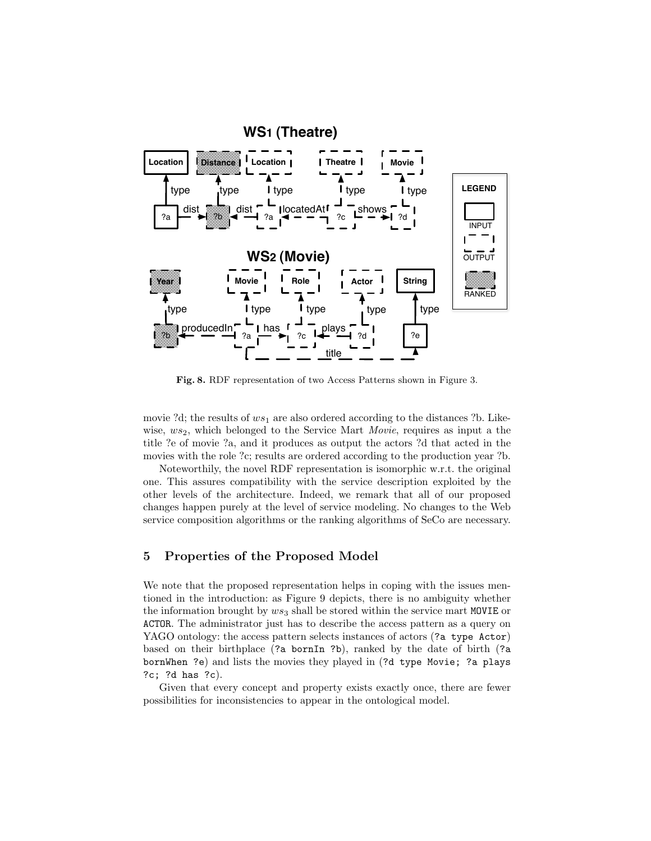

Fig. 8. RDF representation of two Access Patterns shown in Figure 3.

movie ?d; the results of  $ws_1$  are also ordered according to the distances ?b. Likewise,  $ws_2$ , which belonged to the Service Mart *Movie*, requires as input a the title ?e of movie ?a, and it produces as output the actors ?d that acted in the movies with the role ?c; results are ordered according to the production year ?b.

Noteworthily, the novel RDF representation is isomorphic w.r.t. the original one. This assures compatibility with the service description exploited by the other levels of the architecture. Indeed, we remark that all of our proposed changes happen purely at the level of service modeling. No changes to the Web service composition algorithms or the ranking algorithms of SeCo are necessary.

### 5 Properties of the Proposed Model

We note that the proposed representation helps in coping with the issues mentioned in the introduction: as Figure 9 depicts, there is no ambiguity whether the information brought by  $ws_3$  shall be stored within the service mart MOVIE or ACTOR. The administrator just has to describe the access pattern as a query on YAGO ontology: the access pattern selects instances of actors (?a type Actor) based on their birthplace (?a bornIn ?b), ranked by the date of birth (?a bornWhen ?e) and lists the movies they played in (?d type Movie; ?a plays ?c; ?d has ?c).

Given that every concept and property exists exactly once, there are fewer possibilities for inconsistencies to appear in the ontological model.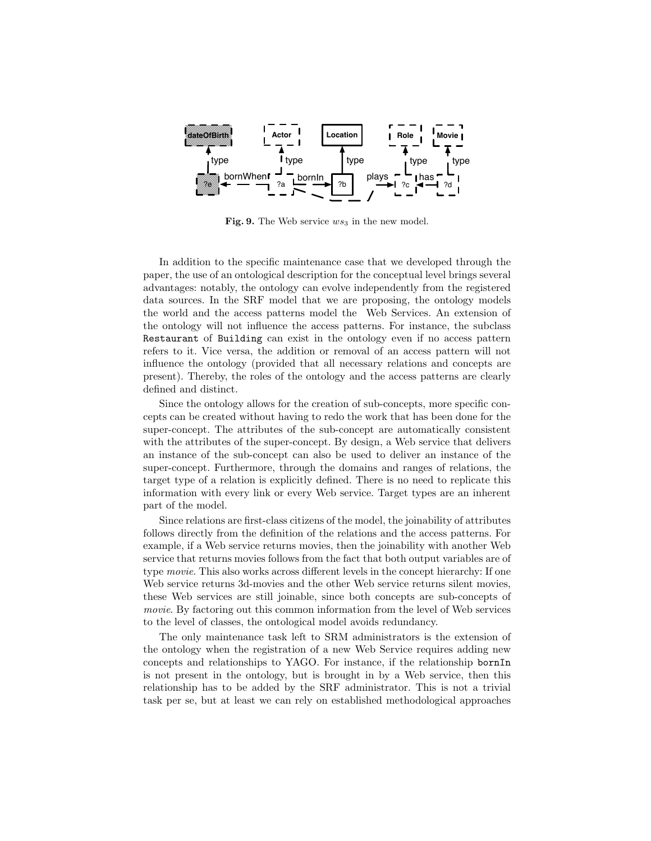

Fig. 9. The Web service  $ws_3$  in the new model.

In addition to the specific maintenance case that we developed through the paper, the use of an ontological description for the conceptual level brings several advantages: notably, the ontology can evolve independently from the registered data sources. In the SRF model that we are proposing, the ontology models the world and the access patterns model the Web Services. An extension of the ontology will not influence the access patterns. For instance, the subclass Restaurant of Building can exist in the ontology even if no access pattern refers to it. Vice versa, the addition or removal of an access pattern will not influence the ontology (provided that all necessary relations and concepts are present). Thereby, the roles of the ontology and the access patterns are clearly defined and distinct.

Since the ontology allows for the creation of sub-concepts, more specific concepts can be created without having to redo the work that has been done for the super-concept. The attributes of the sub-concept are automatically consistent with the attributes of the super-concept. By design, a Web service that delivers an instance of the sub-concept can also be used to deliver an instance of the super-concept. Furthermore, through the domains and ranges of relations, the target type of a relation is explicitly defined. There is no need to replicate this information with every link or every Web service. Target types are an inherent part of the model.

Since relations are first-class citizens of the model, the joinability of attributes follows directly from the definition of the relations and the access patterns. For example, if a Web service returns movies, then the joinability with another Web service that returns movies follows from the fact that both output variables are of type movie. This also works across different levels in the concept hierarchy: If one Web service returns 3d-movies and the other Web service returns silent movies, these Web services are still joinable, since both concepts are sub-concepts of movie. By factoring out this common information from the level of Web services to the level of classes, the ontological model avoids redundancy.

The only maintenance task left to SRM administrators is the extension of the ontology when the registration of a new Web Service requires adding new concepts and relationships to YAGO. For instance, if the relationship bornIn is not present in the ontology, but is brought in by a Web service, then this relationship has to be added by the SRF administrator. This is not a trivial task per se, but at least we can rely on established methodological approaches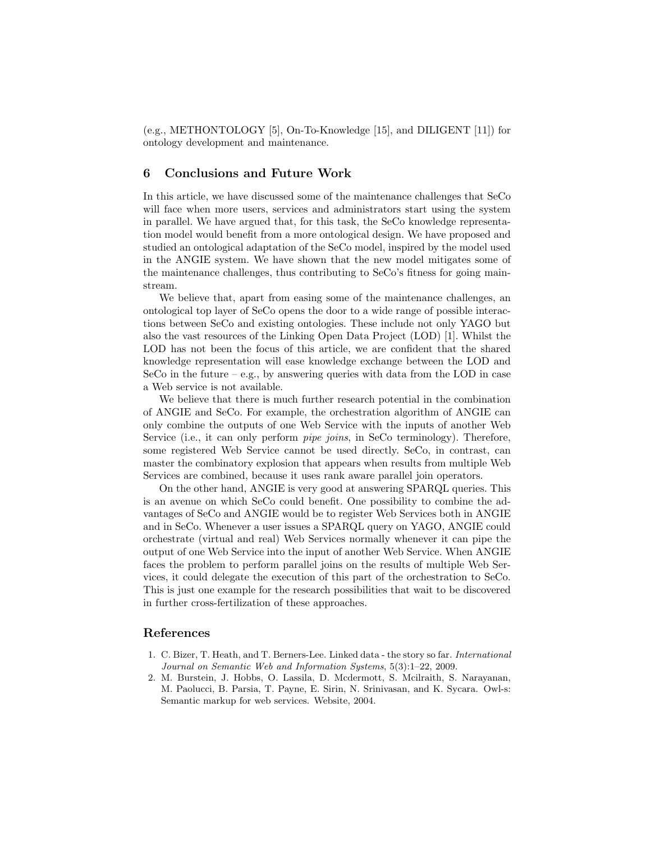(e.g., METHONTOLOGY [5], On-To-Knowledge [15], and DILIGENT [11]) for ontology development and maintenance.

#### 6 Conclusions and Future Work

In this article, we have discussed some of the maintenance challenges that SeCo will face when more users, services and administrators start using the system in parallel. We have argued that, for this task, the SeCo knowledge representation model would benefit from a more ontological design. We have proposed and studied an ontological adaptation of the SeCo model, inspired by the model used in the ANGIE system. We have shown that the new model mitigates some of the maintenance challenges, thus contributing to SeCo's fitness for going mainstream.

We believe that, apart from easing some of the maintenance challenges, an ontological top layer of SeCo opens the door to a wide range of possible interactions between SeCo and existing ontologies. These include not only YAGO but also the vast resources of the Linking Open Data Project (LOD) [1]. Whilst the LOD has not been the focus of this article, we are confident that the shared knowledge representation will ease knowledge exchange between the LOD and SeCo in the future – e.g., by answering queries with data from the LOD in case a Web service is not available.

We believe that there is much further research potential in the combination of ANGIE and SeCo. For example, the orchestration algorithm of ANGIE can only combine the outputs of one Web Service with the inputs of another Web Service (i.e., it can only perform *pipe joins*, in SeCo terminology). Therefore, some registered Web Service cannot be used directly. SeCo, in contrast, can master the combinatory explosion that appears when results from multiple Web Services are combined, because it uses rank aware parallel join operators.

On the other hand, ANGIE is very good at answering SPARQL queries. This is an avenue on which SeCo could benefit. One possibility to combine the advantages of SeCo and ANGIE would be to register Web Services both in ANGIE and in SeCo. Whenever a user issues a SPARQL query on YAGO, ANGIE could orchestrate (virtual and real) Web Services normally whenever it can pipe the output of one Web Service into the input of another Web Service. When ANGIE faces the problem to perform parallel joins on the results of multiple Web Services, it could delegate the execution of this part of the orchestration to SeCo. This is just one example for the research possibilities that wait to be discovered in further cross-fertilization of these approaches.

#### References

- 1. C. Bizer, T. Heath, and T. Berners-Lee. Linked data the story so far. International Journal on Semantic Web and Information Systems, 5(3):1–22, 2009.
- 2. M. Burstein, J. Hobbs, O. Lassila, D. Mcdermott, S. Mcilraith, S. Narayanan, M. Paolucci, B. Parsia, T. Payne, E. Sirin, N. Srinivasan, and K. Sycara. Owl-s: Semantic markup for web services. Website, 2004.